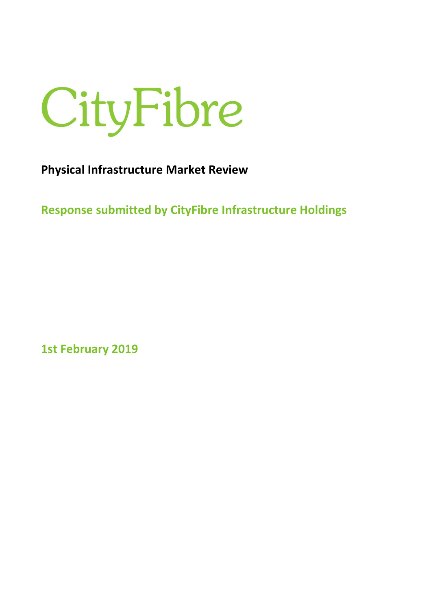

**Physical Infrastructure Market Review** 

**Response submitted by CityFibre Infrastructure Holdings** 

**1st February 2019**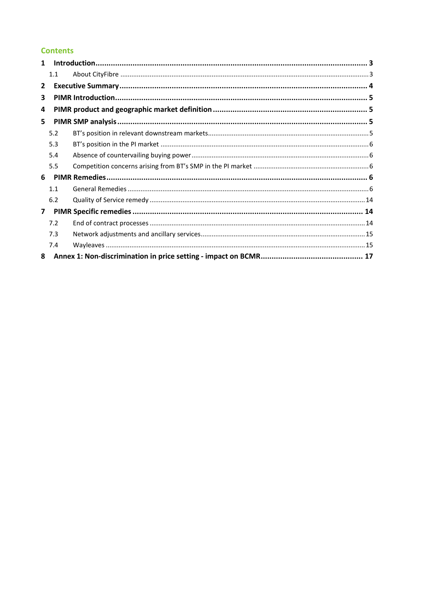# **Contents**

| $\mathbf{1}$ |     |  |
|--------------|-----|--|
|              | 1.1 |  |
| $\mathbf{2}$ |     |  |
| 3            |     |  |
| 4            |     |  |
| 5.           |     |  |
|              | 5.2 |  |
|              | 5.3 |  |
|              | 5.4 |  |
|              | 5.5 |  |
| 6            |     |  |
|              | 1.1 |  |
|              | 6.2 |  |
| $\mathbf{7}$ |     |  |
|              | 7.2 |  |
|              | 7.3 |  |
|              | 7.4 |  |
| 8            |     |  |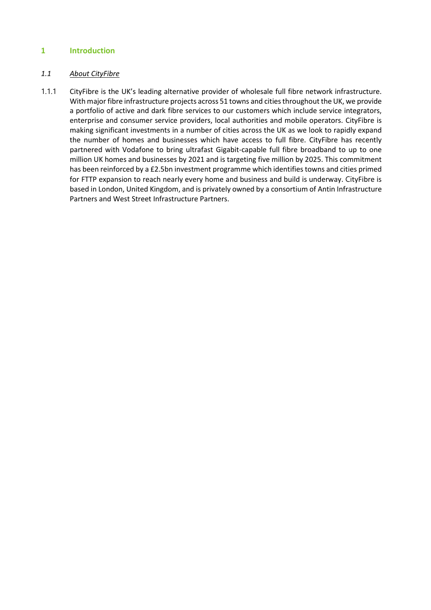# **1 Introduction**

#### *1.1 About CityFibre*

1.1.1 CityFibre is the UK's leading alternative provider of wholesale full fibre network infrastructure. With major fibre infrastructure projects across 51 towns and cities throughout the UK, we provide a portfolio of active and dark fibre services to our customers which include service integrators, enterprise and consumer service providers, local authorities and mobile operators. CityFibre is making significant investments in a number of cities across the UK as we look to rapidly expand the number of homes and businesses which have access to full fibre. CityFibre has recently partnered with Vodafone to bring ultrafast Gigabit-capable full fibre broadband to up to one million UK homes and businesses by 2021 and is targeting five million by 2025. This commitment has been reinforced by a £2.5bn investment programme which identifies towns and cities primed for FTTP expansion to reach nearly every home and business and build is underway. CityFibre is based in London, United Kingdom, and is privately owned by a consortium of Antin Infrastructure Partners and West Street Infrastructure Partners.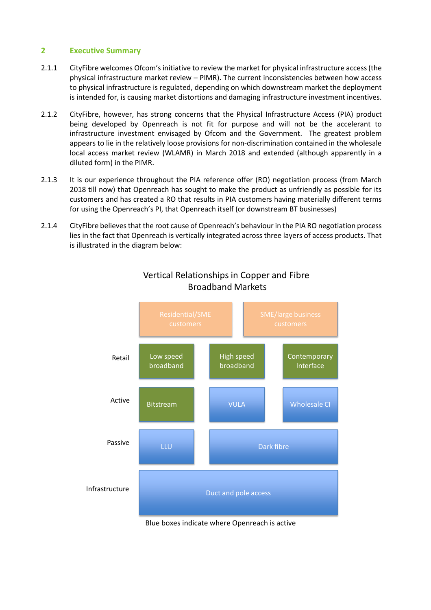# **2 Executive Summary**

- 2.1.1 CityFibre welcomes Ofcom's initiative to review the market for physical infrastructure access (the physical infrastructure market review – PIMR). The current inconsistencies between how access to physical infrastructure is regulated, depending on which downstream market the deployment is intended for, is causing market distortions and damaging infrastructure investment incentives.
- 2.1.2 CityFibre, however, has strong concerns that the Physical Infrastructure Access (PIA) product being developed by Openreach is not fit for purpose and will not be the accelerant to infrastructure investment envisaged by Ofcom and the Government. The greatest problem appears to lie in the relatively loose provisions for non-discrimination contained in the wholesale local access market review (WLAMR) in March 2018 and extended (although apparently in a diluted form) in the PIMR.
- 2.1.3 It is our experience throughout the PIA reference offer (RO) negotiation process (from March 2018 till now) that Openreach has sought to make the product as unfriendly as possible for its customers and has created a RO that results in PIA customers having materially different terms for using the Openreach's PI, that Openreach itself (or downstream BT businesses)
- 2.1.4 CityFibre believes that the root cause of Openreach's behaviour in the PIA RO negotiation process lies in the fact that Openreach is vertically integrated across three layers of access products. That is illustrated in the diagram below:



# Vertical Relationships in Copper and Fibre Broadband Markets

Blue boxes indicate where Openreach is active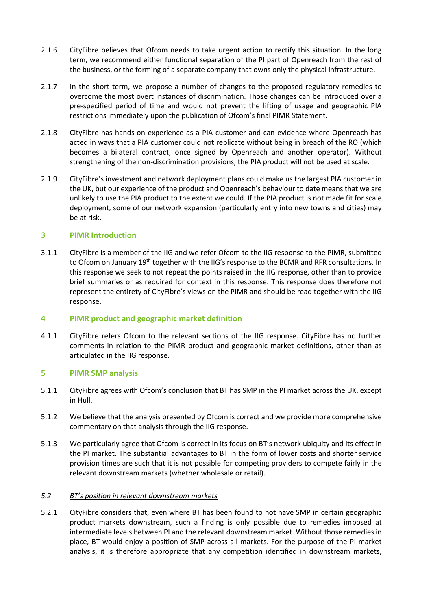- 2.1.6 CityFibre believes that Ofcom needs to take urgent action to rectify this situation. In the long term, we recommend either functional separation of the PI part of Openreach from the rest of the business, or the forming of a separate company that owns only the physical infrastructure.
- 2.1.7 In the short term, we propose a number of changes to the proposed regulatory remedies to overcome the most overt instances of discrimination. Those changes can be introduced over a pre-specified period of time and would not prevent the lifting of usage and geographic PIA restrictions immediately upon the publication of Ofcom's final PIMR Statement.
- 2.1.8 CityFibre has hands-on experience as a PIA customer and can evidence where Openreach has acted in ways that a PIA customer could not replicate without being in breach of the RO (which becomes a bilateral contract, once signed by Openreach and another operator). Without strengthening of the non-discrimination provisions, the PIA product will not be used at scale.
- 2.1.9 CityFibre's investment and network deployment plans could make us the largest PIA customer in the UK, but our experience of the product and Openreach's behaviour to date means that we are unlikely to use the PIA product to the extent we could. If the PIA product is not made fit for scale deployment, some of our network expansion (particularly entry into new towns and cities) may be at risk.

## **3 PIMR Introduction**

3.1.1 CityFibre is a member of the IIG and we refer Ofcom to the IIG response to the PIMR, submitted to Ofcom on January 19th together with the IIG's response to the BCMR and RFR consultations. In this response we seek to not repeat the points raised in the IIG response, other than to provide brief summaries or as required for context in this response. This response does therefore not represent the entirety of CityFibre's views on the PIMR and should be read together with the IIG response.

#### **4 PIMR product and geographic market definition**

4.1.1 CityFibre refers Ofcom to the relevant sections of the IIG response. CityFibre has no further comments in relation to the PIMR product and geographic market definitions, other than as articulated in the IIG response.

#### **5 PIMR SMP analysis**

- 5.1.1 CityFibre agrees with Ofcom's conclusion that BT has SMP in the PI market across the UK, except in Hull.
- 5.1.2 We believe that the analysis presented by Ofcom is correct and we provide more comprehensive commentary on that analysis through the IIG response.
- 5.1.3 We particularly agree that Ofcom is correct in its focus on BT's network ubiquity and its effect in the PI market. The substantial advantages to BT in the form of lower costs and shorter service provision times are such that it is not possible for competing providers to compete fairly in the relevant downstream markets (whether wholesale or retail).

#### *5.2 BT's position in relevant downstream markets*

5.2.1 CityFibre considers that, even where BT has been found to not have SMP in certain geographic product markets downstream, such a finding is only possible due to remedies imposed at intermediate levels between PI and the relevant downstream market. Without those remedies in place, BT would enjoy a position of SMP across all markets. For the purpose of the PI market analysis, it is therefore appropriate that any competition identified in downstream markets,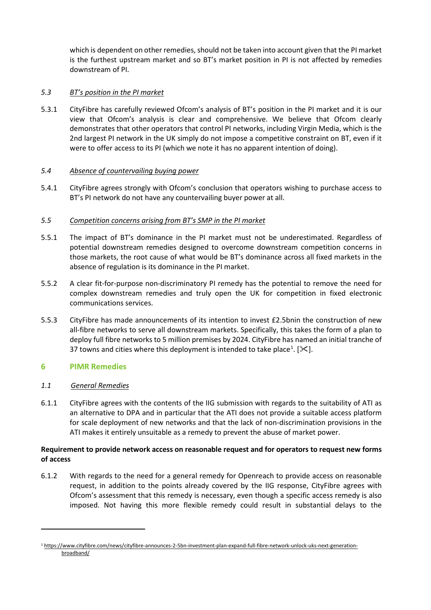which is dependent on other remedies, should not be taken into account given that the PI market is the furthest upstream market and so BT's market position in PI is not affected by remedies downstream of PI.

# *5.3 BT's position in the PI market*

5.3.1 CityFibre has carefully reviewed Ofcom's analysis of BT's position in the PI market and it is our view that Ofcom's analysis is clear and comprehensive. We believe that Ofcom clearly demonstrates that other operators that control PI networks, including Virgin Media, which is the 2nd largest PI network in the UK simply do not impose a competitive constraint on BT, even if it were to offer access to its PI (which we note it has no apparent intention of doing).

## *5.4 Absence of countervailing buying power*

5.4.1 CityFibre agrees strongly with Ofcom's conclusion that operators wishing to purchase access to BT's PI network do not have any countervailing buyer power at all.

## *5.5 Competition concerns arising from BT's SMP in the PI market*

- 5.5.1 The impact of BT's dominance in the PI market must not be underestimated. Regardless of potential downstream remedies designed to overcome downstream competition concerns in those markets, the root cause of what would be BT's dominance across all fixed markets in the absence of regulation is its dominance in the PI market.
- 5.5.2 A clear fit-for-purpose non-discriminatory PI remedy has the potential to remove the need for complex downstream remedies and truly open the UK for competition in fixed electronic communications services.
- 5.5.3 CityFibre has made announcements of its intention to invest £2.5bnin the construction of new all-fibre networks to serve all downstream markets. Specifically, this takes the form of a plan to deploy full fibre networks to 5 million premises by 2024. CityFibre has named an initial tranche of 37 towns and cities where this deployment is intended to take place<sup>[1](#page-5-0)</sup>. [ $\ll$ ].

# **6 PIMR Remedies**

#### *1.1 General Remedies*

 $\overline{\phantom{a}}$ 

6.1.1 CityFibre agrees with the contents of the IIG submission with regards to the suitability of ATI as an alternative to DPA and in particular that the ATI does not provide a suitable access platform for scale deployment of new networks and that the lack of non-discrimination provisions in the ATI makes it entirely unsuitable as a remedy to prevent the abuse of market power.

## **Requirement to provide network access on reasonable request and for operators to request new forms of access**

6.1.2 With regards to the need for a general remedy for Openreach to provide access on reasonable request, in addition to the points already covered by the IIG response, CityFibre agrees with Ofcom's assessment that this remedy is necessary, even though a specific access remedy is also imposed. Not having this more flexible remedy could result in substantial delays to the

<span id="page-5-0"></span><sup>1</sup> [https://www.cityfibre.com/news/cityfibre-announces-2-5bn-investment-plan-expand-full-fibre-network-unlock-uks-next-generation](https://www.cityfibre.com/news/cityfibre-announces-2-5bn-investment-plan-expand-full-fibre-network-unlock-uks-next-generation-broadband/)[broadband/](https://www.cityfibre.com/news/cityfibre-announces-2-5bn-investment-plan-expand-full-fibre-network-unlock-uks-next-generation-broadband/)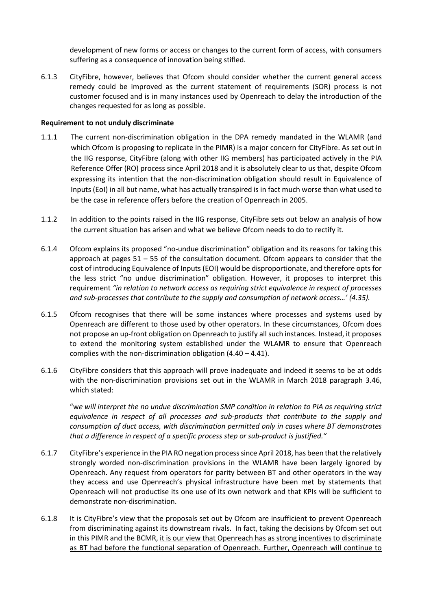development of new forms or access or changes to the current form of access, with consumers suffering as a consequence of innovation being stifled.

6.1.3 CityFibre, however, believes that Ofcom should consider whether the current general access remedy could be improved as the current statement of requirements (SOR) process is not customer focused and is in many instances used by Openreach to delay the introduction of the changes requested for as long as possible.

#### **Requirement to not unduly discriminate**

- 1.1.1 The current non-discrimination obligation in the DPA remedy mandated in the WLAMR (and which Ofcom is proposing to replicate in the PIMR) is a major concern for CityFibre. As set out in the IIG response, CityFibre (along with other IIG members) has participated actively in the PIA Reference Offer (RO) process since April 2018 and it is absolutely clear to us that, despite Ofcom expressing its intention that the non-discrimination obligation should result in Equivalence of Inputs (EoI) in all but name, what has actually transpired is in fact much worse than what used to be the case in reference offers before the creation of Openreach in 2005.
- 1.1.2 In addition to the points raised in the IIG response, CityFibre sets out below an analysis of how the current situation has arisen and what we believe Ofcom needs to do to rectify it.
- 6.1.4 Ofcom explains its proposed "no-undue discrimination" obligation and its reasons for taking this approach at pages  $51 - 55$  of the consultation document. Ofcom appears to consider that the cost of introducing Equivalence of Inputs (EOI) would be disproportionate, and therefore opts for the less strict "no undue discrimination" obligation. However, it proposes to interpret this requirement *"in relation to network access as requiring strict equivalence in respect of processes and sub-processes that contribute to the supply and consumption of network access…' (4.35).*
- 6.1.5 Ofcom recognises that there will be some instances where processes and systems used by Openreach are different to those used by other operators. In these circumstances, Ofcom does not propose an up-front obligation on Openreach to justify all such instances. Instead, it proposes to extend the monitoring system established under the WLAMR to ensure that Openreach complies with the non-discrimination obligation (4.40 – 4.41).
- 6.1.6 CityFibre considers that this approach will prove inadequate and indeed it seems to be at odds with the non-discrimination provisions set out in the WLAMR in March 2018 paragraph 3.46, which stated:

"w*e will interpret the no undue discrimination SMP condition in relation to PIA as requiring strict equivalence in respect of all processes and sub-products that contribute to the supply and consumption of duct access, with discrimination permitted only in cases where BT demonstrates that a difference in respect of a specific process step or sub-product is justified."*

- 6.1.7 CityFibre's experience in the PIA RO negation process since April 2018, has been that the relatively strongly worded non-discrimination provisions in the WLAMR have been largely ignored by Openreach. Any request from operators for parity between BT and other operators in the way they access and use Openreach's physical infrastructure have been met by statements that Openreach will not productise its one use of its own network and that KPIs will be sufficient to demonstrate non-discrimination.
- 6.1.8 It is CityFibre's view that the proposals set out by Ofcom are insufficient to prevent Openreach from discriminating against its downstream rivals. In fact, taking the decisions by Ofcom set out in this PIMR and the BCMR, it is our view that Openreach has as strong incentives to discriminate as BT had before the functional separation of Openreach. Further, Openreach will continue to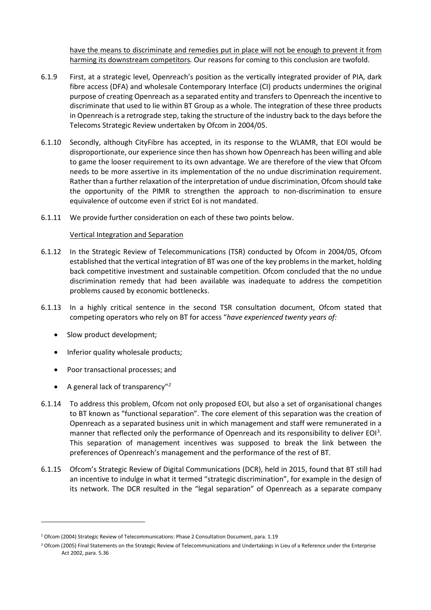have the means to discriminate and remedies put in place will not be enough to prevent it from harming its downstream competitors*.* Our reasons for coming to this conclusion are twofold.

- 6.1.9 First, at a strategic level, Openreach's position as the vertically integrated provider of PIA, dark fibre access (DFA) and wholesale Contemporary Interface (CI) products undermines the original purpose of creating Openreach as a separated entity and transfers to Openreach the incentive to discriminate that used to lie within BT Group as a whole. The integration of these three products in Openreach is a retrograde step, taking the structure of the industry back to the days before the Telecoms Strategic Review undertaken by Ofcom in 2004/05.
- 6.1.10 Secondly, although CityFibre has accepted, in its response to the WLAMR, that EOI would be disproportionate, our experience since then has shown how Openreach has been willing and able to game the looser requirement to its own advantage. We are therefore of the view that Ofcom needs to be more assertive in its implementation of the no undue discrimination requirement. Rather than a further relaxation of the interpretation of undue discrimination, Ofcom should take the opportunity of the PIMR to strengthen the approach to non-discrimination to ensure equivalence of outcome even if strict EoI is not mandated.
- 6.1.11 We provide further consideration on each of these two points below.

## Vertical Integration and Separation

- 6.1.12 In the Strategic Review of Telecommunications (TSR) conducted by Ofcom in 2004/05, Ofcom established that the vertical integration of BT was one of the key problems in the market, holding back competitive investment and sustainable competition. Ofcom concluded that the no undue discrimination remedy that had been available was inadequate to address the competition problems caused by economic bottlenecks.
- 6.1.13 In a highly critical sentence in the second TSR consultation document, Ofcom stated that competing operators who rely on BT for access "*have experienced twenty years of:*
	- Slow product development;
	- Inferior quality wholesale products;
	- Poor transactional processes; and
	- A general lack of transparency"*[2](#page-7-0)*

l

- 6.1.14 To address this problem, Ofcom not only proposed EOI, but also a set of organisational changes to BT known as "functional separation". The core element of this separation was the creation of Openreach as a separated business unit in which management and staff were remunerated in a manner that reflected only the performance of Openreach and its responsibility to deliver EOI<sup>[3](#page-7-1)</sup>. This separation of management incentives was supposed to break the link between the preferences of Openreach's management and the performance of the rest of BT.
- 6.1.15 Ofcom's Strategic Review of Digital Communications (DCR), held in 2015, found that BT still had an incentive to indulge in what it termed "strategic discrimination", for example in the design of its network. The DCR resulted in the "legal separation" of Openreach as a separate company

<span id="page-7-0"></span><sup>&</sup>lt;sup>2</sup> Ofcom (2004) Strategic Review of Telecommunications: Phase 2 Consultation Document, para. 1.19

<span id="page-7-1"></span><sup>&</sup>lt;sup>3</sup> Ofcom (2005) Final Statements on the Strategic Review of Telecommunications and Undertakings in Lieu of a Reference under the Enterprise Act 2002, para. 5.36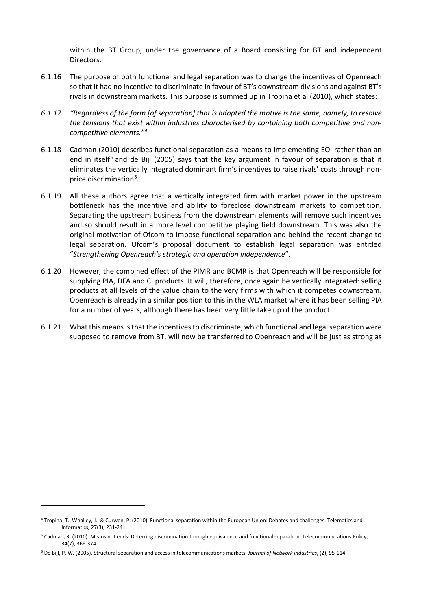within the BT Group, under the governance of a Board consisting for BT and independent Directors.

- 6.1.16 The purpose of both functional and legal separation was to change the incentives of Openreach so that it had no incentive to discriminate in favour of BT's downstream divisions and against BT's rivals in downstream markets. This purpose is summed up in Tropina et al (2010), which states:
- *6.1.17 "Regardless of the form [of separation] that is adopted the motive is the same, namely, to resolve the tensions that exist within industries characterised by containing both competitive and noncompetitive elements."[4](#page-8-0)*
- 6.1.18 Cadman (2010) describes functional separation as a means to implementing EOI rather than an end in itself<sup>[5](#page-8-1)</sup> and de Bijl (2005) says that the key argument in favour of separation is that it eliminates the vertically integrated dominant firm's incentives to raise rivals' costs through nonprice discrimination<sup>6</sup>.
- 6.1.19 All these authors agree that a vertically integrated firm with market power in the upstream bottleneck has the incentive and ability to foreclose downstream markets to competition. Separating the upstream business from the downstream elements will remove such incentives and so should result in a more level competitive playing field downstream. This was also the original motivation of Ofcom to impose functional separation and behind the recent change to legal separation. Ofcom's proposal document to establish legal separation was entitled "*Strengthening Openreach's strategic and operation independence*".
- 6.1.20 However, the combined effect of the PIMR and BCMR is that Openreach will be responsible for supplying PIA, DFA and CI products. It will, therefore, once again be vertically integrated: selling products at all levels of the value chain to the very firms with which it competes downstream. Openreach is already in a similar position to this in the WLA market where it has been selling PIA for a number of years, although there has been very little take up of the product.
- 6.1.21 What this means is that the incentives to discriminate, which functional and legal separation were supposed to remove from BT, will now be transferred to Openreach and will be just as strong as

l

<span id="page-8-0"></span><sup>4</sup> Tropina, T., Whalley, J., & Curwen, P. (2010). Functional separation within the European Union: Debates and challenges. Telematics and Informatics, 27(3), 231-241.

<span id="page-8-1"></span><sup>5</sup> Cadman, R. (2010). Means not ends: Deterring discrimination through equivalence and functional separation. Telecommunications Policy, 34(7), 366-374.

<span id="page-8-2"></span><sup>6</sup> De Bijl, P. W. (2005). Structural separation and access in telecommunications markets. *Journal of Network industries*, (2), 95-114.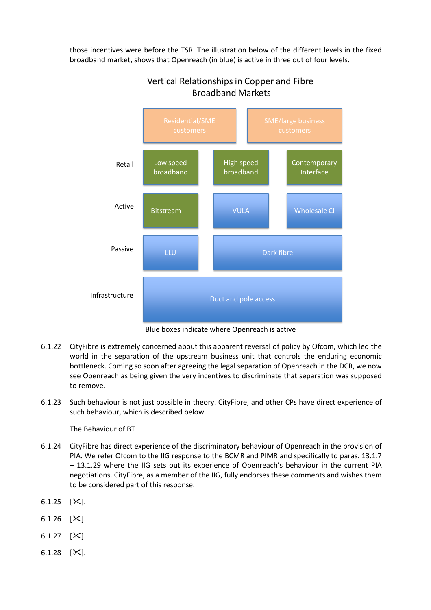those incentives were before the TSR. The illustration below of the different levels in the fixed broadband market, shows that Openreach (in blue) is active in three out of four levels.



# Vertical Relationships in Copper and Fibre Broadband Markets

Blue boxes indicate where Openreach is active

- 6.1.22 CityFibre is extremely concerned about this apparent reversal of policy by Ofcom, which led the world in the separation of the upstream business unit that controls the enduring economic bottleneck. Coming so soon after agreeing the legal separation of Openreach in the DCR, we now see Openreach as being given the very incentives to discriminate that separation was supposed to remove.
- 6.1.23 Such behaviour is not just possible in theory. CityFibre, and other CPs have direct experience of such behaviour, which is described below.

# The Behaviour of BT

- 6.1.24 CityFibre has direct experience of the discriminatory behaviour of Openreach in the provision of PIA. We refer Ofcom to the IIG response to the BCMR and PIMR and specifically to paras. 13.1.7 – 13.1.29 where the IIG sets out its experience of Openreach's behaviour in the current PIA negotiations. CityFibre, as a member of the IIG, fully endorses these comments and wishes them to be considered part of this response.
- 6.1.25  $[\times]$ .
- 6.1.26  $[\times]$ .
- 6.1.27  $[\&$ .
- 6.1.28  $[\times]$ .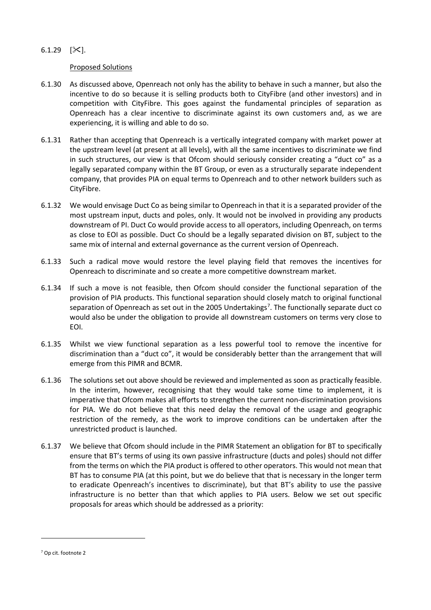## 6.1.29  $[\times]$ .

#### Proposed Solutions

- 6.1.30 As discussed above, Openreach not only has the ability to behave in such a manner, but also the incentive to do so because it is selling products both to CityFibre (and other investors) and in competition with CityFibre. This goes against the fundamental principles of separation as Openreach has a clear incentive to discriminate against its own customers and, as we are experiencing, it is willing and able to do so.
- 6.1.31 Rather than accepting that Openreach is a vertically integrated company with market power at the upstream level (at present at all levels), with all the same incentives to discriminate we find in such structures, our view is that Ofcom should seriously consider creating a "duct co" as a legally separated company within the BT Group, or even as a structurally separate independent company, that provides PIA on equal terms to Openreach and to other network builders such as CityFibre.
- 6.1.32 We would envisage Duct Co as being similar to Openreach in that it is a separated provider of the most upstream input, ducts and poles, only. It would not be involved in providing any products downstream of PI. Duct Co would provide access to all operators, including Openreach, on terms as close to EOI as possible. Duct Co should be a legally separated division on BT, subject to the same mix of internal and external governance as the current version of Openreach.
- 6.1.33 Such a radical move would restore the level playing field that removes the incentives for Openreach to discriminate and so create a more competitive downstream market.
- 6.1.34 If such a move is not feasible, then Ofcom should consider the functional separation of the provision of PIA products. This functional separation should closely match to original functional separation of Openreach as set out in the 2005 Undertakings<sup>[7](#page-10-0)</sup>. The functionally separate duct co would also be under the obligation to provide all downstream customers on terms very close to EOI.
- 6.1.35 Whilst we view functional separation as a less powerful tool to remove the incentive for discrimination than a "duct co", it would be considerably better than the arrangement that will emerge from this PIMR and BCMR.
- 6.1.36 The solutions set out above should be reviewed and implemented as soon as practically feasible. In the interim, however, recognising that they would take some time to implement, it is imperative that Ofcom makes all efforts to strengthen the current non-discrimination provisions for PIA. We do not believe that this need delay the removal of the usage and geographic restriction of the remedy, as the work to improve conditions can be undertaken after the unrestricted product is launched.
- 6.1.37 We believe that Ofcom should include in the PIMR Statement an obligation for BT to specifically ensure that BT's terms of using its own passive infrastructure (ducts and poles) should not differ from the terms on which the PIA product is offered to other operators. This would not mean that BT has to consume PIA (at this point, but we do believe that that is necessary in the longer term to eradicate Openreach's incentives to discriminate), but that BT's ability to use the passive infrastructure is no better than that which applies to PIA users. Below we set out specific proposals for areas which should be addressed as a priority:

 $\overline{\phantom{a}}$ 

<span id="page-10-0"></span><sup>7</sup> Op cit. footnote 2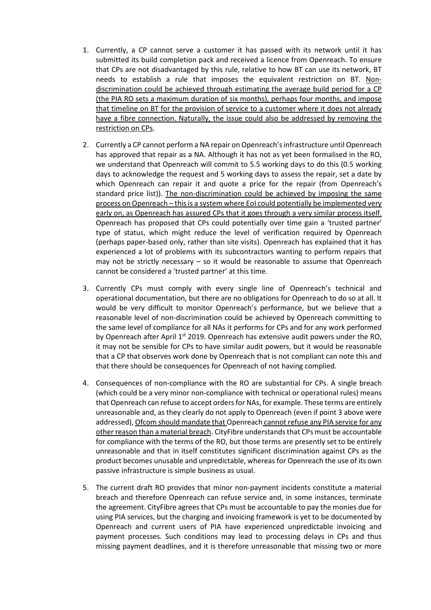- 1. Currently, a CP cannot serve a customer it has passed with its network until it has submitted its build completion pack and received a licence from Openreach. To ensure that CPs are not disadvantaged by this rule, relative to how BT can use its network, BT needs to establish a rule that imposes the equivalent restriction on BT. Nondiscrimination could be achieved through estimating the average build period for a CP (the PIA RO sets a maximum duration of six months), perhaps four months, and impose that timeline on BT for the provision of service to a customer where it does not already have a fibre connection. Naturally, the issue could also be addressed by removing the restriction on CPs.
- 2. Currently a CP cannot perform a NA repair on Openreach's infrastructure until Openreach has approved that repair as a NA. Although it has not as yet been formalised in the RO, we understand that Openreach will commit to 5.5 working days to do this (0.5 working days to acknowledge the request and 5 working days to assess the repair, set a date by which Openreach can repair it and quote a price for the repair (from Openreach's standard price list)). The non-discrimination could be achieved by imposing the same process on Openreach – this is a system where EoI could potentially be implemented very early on, as Openreach has assured CPs that it goes through a very similar process itself. Openreach has proposed that CPs could potentially over time gain a 'trusted partner' type of status, which might reduce the level of verification required by Openreach (perhaps paper-based only, rather than site visits). Openreach has explained that it has experienced a lot of problems with its subcontractors wanting to perform repairs that may not be strictly necessary  $-$  so it would be reasonable to assume that Openreach cannot be considered a 'trusted partner' at this time.
- 3. Currently CPs must comply with every single line of Openreach's technical and operational documentation, but there are no obligations for Openreach to do so at all. It would be very difficult to monitor Openreach's performance, but we believe that a reasonable level of non-discrimination could be achieved by Openreach committing to the same level of compliance for all NAs it performs for CPs and for any work performed by Openreach after April  $1<sup>st</sup>$  2019. Openreach has extensive audit powers under the RO, it may not be sensible for CPs to have similar audit powers, but it would be reasonable that a CP that observes work done by Openreach that is not compliant can note this and that there should be consequences for Openreach of not having complied.
- 4. Consequences of non-compliance with the RO are substantial for CPs. A single breach (which could be a very minor non-compliance with technical or operational rules) means that Openreach can refuse to accept orders for NAs, for example. These terms are entirely unreasonable and, as they clearly do not apply to Openreach (even if point 3 above were addressed), Ofcom should mandate that Openreach cannot refuse any PIA service for any other reason than a material breach. CityFibre understands that CPs must be accountable for compliance with the terms of the RO, but those terms are presently set to be entirely unreasonable and that in itself constitutes significant discrimination against CPs as the product becomes unusable and unpredictable, whereas for Openreach the use of its own passive infrastructure is simple business as usual.
- 5. The current draft RO provides that minor non-payment incidents constitute a material breach and therefore Openreach can refuse service and, in some instances, terminate the agreement. CityFibre agrees that CPs must be accountable to pay the monies due for using PIA services, but the charging and invoicing framework is yet to be documented by Openreach and current users of PIA have experienced unpredictable invoicing and payment processes. Such conditions may lead to processing delays in CPs and thus missing payment deadlines, and it is therefore unreasonable that missing two or more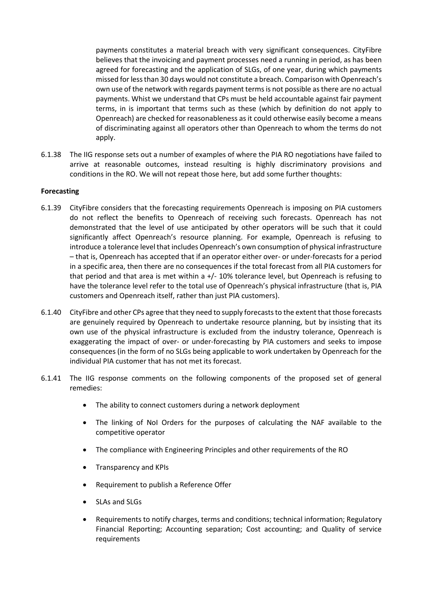payments constitutes a material breach with very significant consequences. CityFibre believes that the invoicing and payment processes need a running in period, as has been agreed for forecasting and the application of SLGs, of one year, during which payments missed for less than 30 days would not constitute a breach. Comparison with Openreach's own use of the network with regards payment terms is not possible as there are no actual payments. Whist we understand that CPs must be held accountable against fair payment terms, in is important that terms such as these (which by definition do not apply to Openreach) are checked for reasonableness as it could otherwise easily become a means of discriminating against all operators other than Openreach to whom the terms do not apply.

6.1.38 The IIG response sets out a number of examples of where the PIA RO negotiations have failed to arrive at reasonable outcomes, instead resulting is highly discriminatory provisions and conditions in the RO. We will not repeat those here, but add some further thoughts:

#### **Forecasting**

- 6.1.39 CityFibre considers that the forecasting requirements Openreach is imposing on PIA customers do not reflect the benefits to Openreach of receiving such forecasts. Openreach has not demonstrated that the level of use anticipated by other operators will be such that it could significantly affect Openreach's resource planning. For example, Openreach is refusing to introduce a tolerance level that includes Openreach's own consumption of physical infrastructure – that is, Openreach has accepted that if an operator either over- or under-forecasts for a period in a specific area, then there are no consequences if the total forecast from all PIA customers for that period and that area is met within a +/- 10% tolerance level, but Openreach is refusing to have the tolerance level refer to the total use of Openreach's physical infrastructure (that is, PIA customers and Openreach itself, rather than just PIA customers).
- 6.1.40 CityFibre and other CPs agree that they need to supply forecasts to the extent that those forecasts are genuinely required by Openreach to undertake resource planning, but by insisting that its own use of the physical infrastructure is excluded from the industry tolerance, Openreach is exaggerating the impact of over- or under-forecasting by PIA customers and seeks to impose consequences (in the form of no SLGs being applicable to work undertaken by Openreach for the individual PIA customer that has not met its forecast.
- 6.1.41 The IIG response comments on the following components of the proposed set of general remedies:
	- The ability to connect customers during a network deployment
	- The linking of NoI Orders for the purposes of calculating the NAF available to the competitive operator
	- The compliance with Engineering Principles and other requirements of the RO
	- Transparency and KPIs
	- Requirement to publish a Reference Offer
	- SLAs and SLGs
	- Requirements to notify charges, terms and conditions; technical information; Regulatory Financial Reporting; Accounting separation; Cost accounting; and Quality of service requirements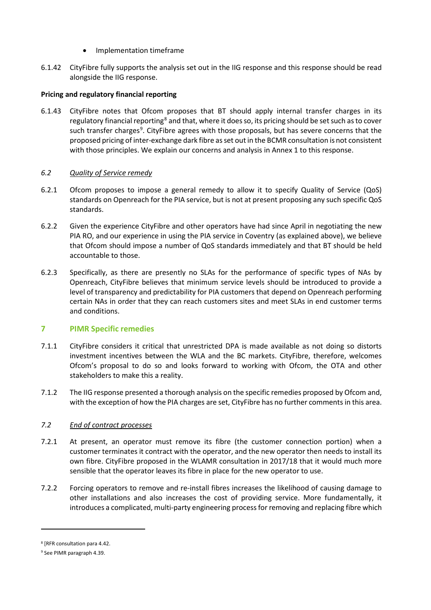- Implementation timeframe
- 6.1.42 CityFibre fully supports the analysis set out in the IIG response and this response should be read alongside the IIG response.

# **Pricing and regulatory financial reporting**

6.1.43 CityFibre notes that Ofcom proposes that BT should apply internal transfer charges in its regulatory financial reporting<sup>[8](#page-13-0)</sup> and that, where it does so, its pricing should be set such as to cover such transfer charges<sup>9</sup>. CityFibre agrees with those proposals, but has severe concerns that the proposed pricing of inter-exchange dark fibre as set out in the BCMR consultation is not consistent with those principles. We explain our concerns and analysis in Annex 1 to this response.

## *6.2 Quality of Service remedy*

- 6.2.1 Ofcom proposes to impose a general remedy to allow it to specify Quality of Service (QoS) standards on Openreach for the PIA service, but is not at present proposing any such specific QoS standards.
- 6.2.2 Given the experience CityFibre and other operators have had since April in negotiating the new PIA RO, and our experience in using the PIA service in Coventry (as explained above), we believe that Ofcom should impose a number of QoS standards immediately and that BT should be held accountable to those.
- 6.2.3 Specifically, as there are presently no SLAs for the performance of specific types of NAs by Openreach, CityFibre believes that minimum service levels should be introduced to provide a level of transparency and predictability for PIA customers that depend on Openreach performing certain NAs in order that they can reach customers sites and meet SLAs in end customer terms and conditions.

# **7 PIMR Specific remedies**

- 7.1.1 CityFibre considers it critical that unrestricted DPA is made available as not doing so distorts investment incentives between the WLA and the BC markets. CityFibre, therefore, welcomes Ofcom's proposal to do so and looks forward to working with Ofcom, the OTA and other stakeholders to make this a reality.
- 7.1.2 The IIG response presented a thorough analysis on the specific remedies proposed by Ofcom and, with the exception of how the PIA charges are set, CityFibre has no further comments in this area.

#### *7.2 End of contract processes*

- 7.2.1 At present, an operator must remove its fibre (the customer connection portion) when a customer terminates it contract with the operator, and the new operator then needs to install its own fibre. CityFibre proposed in the WLAMR consultation in 2017/18 that it would much more sensible that the operator leaves its fibre in place for the new operator to use.
- 7.2.2 Forcing operators to remove and re-install fibres increases the likelihood of causing damage to other installations and also increases the cost of providing service. More fundamentally, it introduces a complicated, multi-party engineering process for removing and replacing fibre which

 $\overline{\phantom{a}}$ 

<span id="page-13-0"></span><sup>8</sup> [RFR consultation para 4.42.

<span id="page-13-1"></span><sup>9</sup> See PIMR paragraph 4.39.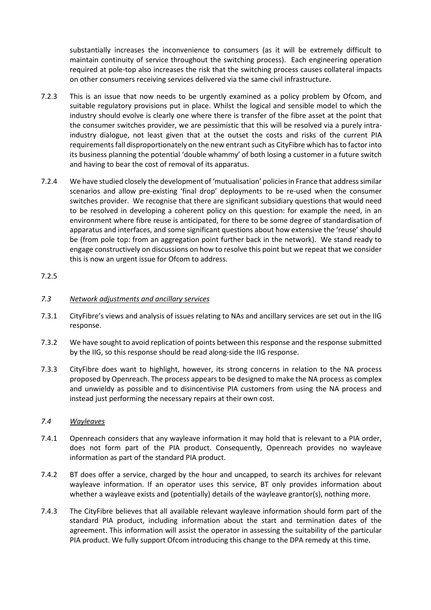substantially increases the inconvenience to consumers (as it will be extremely difficult to maintain continuity of service throughout the switching process). Each engineering operation required at pole-top also increases the risk that the switching process causes collateral impacts on other consumers receiving services delivered via the same civil infrastructure.

- 7.2.3 This is an issue that now needs to be urgently examined as a policy problem by Ofcom, and suitable regulatory provisions put in place. Whilst the logical and sensible model to which the industry should evolve is clearly one where there is transfer of the fibre asset at the point that the consumer switches provider, we are pessimistic that this will be resolved via a purely intraindustry dialogue, not least given that at the outset the costs and risks of the current PIA requirements fall disproportionately on the new entrant such as CityFibre which hasto factor into its business planning the potential 'double whammy' of both losing a customer in a future switch and having to bear the cost of removal of its apparatus.
- 7.2.4 We have studied closely the development of 'mutualisation' policies in France that address similar scenarios and allow pre-existing 'final drop' deployments to be re-used when the consumer switches provider. We recognise that there are significant subsidiary questions that would need to be resolved in developing a coherent policy on this question: for example the need, in an environment where fibre reuse is anticipated, for there to be some degree of standardisation of apparatus and interfaces, and some significant questions about how extensive the 'reuse' should be (from pole top: from an aggregation point further back in the network). We stand ready to engage constructively on discussions on how to resolve this point but we repeat that we consider this is now an urgent issue for Ofcom to address.

## 7.2.5

## *7.3 Network adjustments and ancillary services*

- 7.3.1 CityFibre's views and analysis of issues relating to NAs and ancillary services are set out in the IIG response.
- 7.3.2 We have sought to avoid replication of points between this response and the response submitted by the IIG, so this response should be read along-side the IIG response.
- 7.3.3 CityFibre does want to highlight, however, its strong concerns in relation to the NA process proposed by Openreach. The process appears to be designed to make the NA process as complex and unwieldy as possible and to disincentivise PIA customers from using the NA process and instead just performing the necessary repairs at their own cost.

#### *7.4 Wayleaves*

- 7.4.1 Openreach considers that any wayleave information it may hold that is relevant to a PIA order, does not form part of the PIA product. Consequently, Openreach provides no wayleave information as part of the standard PIA product.
- 7.4.2 BT does offer a service, charged by the hour and uncapped, to search its archives for relevant wayleave information. If an operator uses this service, BT only provides information about whether a wayleave exists and (potentially) details of the wayleave grantor(s), nothing more.
- 7.4.3 The CityFibre believes that all available relevant wayleave information should form part of the standard PIA product, including information about the start and termination dates of the agreement. This information will assist the operator in assessing the suitability of the particular PIA product. We fully support Ofcom introducing this change to the DPA remedy at this time.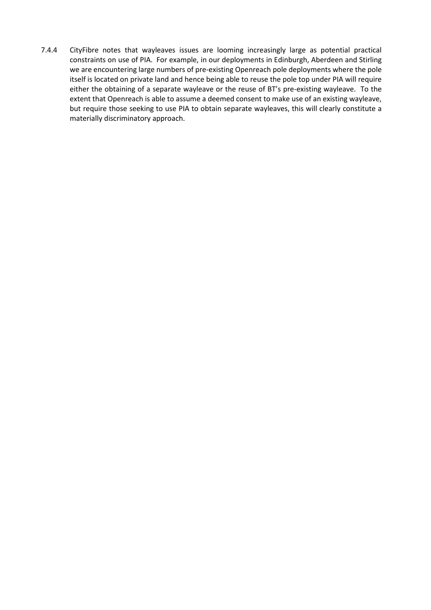7.4.4 CityFibre notes that wayleaves issues are looming increasingly large as potential practical constraints on use of PIA. For example, in our deployments in Edinburgh, Aberdeen and Stirling we are encountering large numbers of pre-existing Openreach pole deployments where the pole itself is located on private land and hence being able to reuse the pole top under PIA will require either the obtaining of a separate wayleave or the reuse of BT's pre-existing wayleave. To the extent that Openreach is able to assume a deemed consent to make use of an existing wayleave, but require those seeking to use PIA to obtain separate wayleaves, this will clearly constitute a materially discriminatory approach.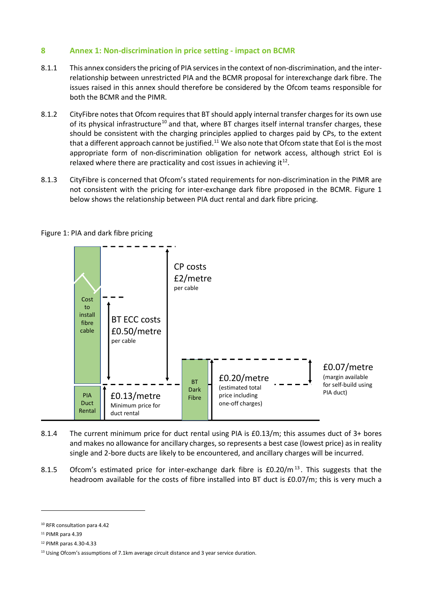# **8 Annex 1: Non-discrimination in price setting - impact on BCMR**

- 8.1.1 This annex considers the pricing of PIA services in the context of non-discrimination, and the interrelationship between unrestricted PIA and the BCMR proposal for interexchange dark fibre. The issues raised in this annex should therefore be considered by the Ofcom teams responsible for both the BCMR and the PIMR.
- 8.1.2 CityFibre notes that Ofcom requires that BT should apply internal transfer charges for its own use of its physical infrastructure<sup>[10](#page-16-0)</sup> and that, where BT charges itself internal transfer charges, these should be consistent with the charging principles applied to charges paid by CPs, to the extent that a different approach cannot be justified.<sup>11</sup> We also note that Ofcom state that EoI is the most appropriate form of non-discrimination obligation for network access, although strict EoI is relaxed where there are practicality and cost issues in achieving it $^{12}$ .
- 8.1.3 CityFibre is concerned that Ofcom's stated requirements for non-discrimination in the PIMR are not consistent with the pricing for inter-exchange dark fibre proposed in the BCMR. Figure 1 below shows the relationship between PIA duct rental and dark fibre pricing.



Figure 1: PIA and dark fibre pricing

- 8.1.4 The current minimum price for duct rental using PIA is £0.13/m; this assumes duct of 3+ bores and makes no allowance for ancillary charges, so represents a best case (lowest price) as in reality single and 2-bore ducts are likely to be encountered, and ancillary charges will be incurred.
- 8.1.5 Ofcom's estimated price for inter-exchange dark fibre is  $£0.20/m^{13}$  $£0.20/m^{13}$  $£0.20/m^{13}$ . This suggests that the headroom available for the costs of fibre installed into BT duct is £0.07/m; this is very much a

 $\overline{\phantom{a}}$ 

<span id="page-16-0"></span><sup>10</sup> RFR consultation para 4.42

<span id="page-16-1"></span><sup>&</sup>lt;sup>11</sup> PIMR para 4.39

<span id="page-16-2"></span><sup>12</sup> PIMR paras 4.30-4.33

<span id="page-16-3"></span><sup>&</sup>lt;sup>13</sup> Using Ofcom's assumptions of 7.1km average circuit distance and 3 year service duration.